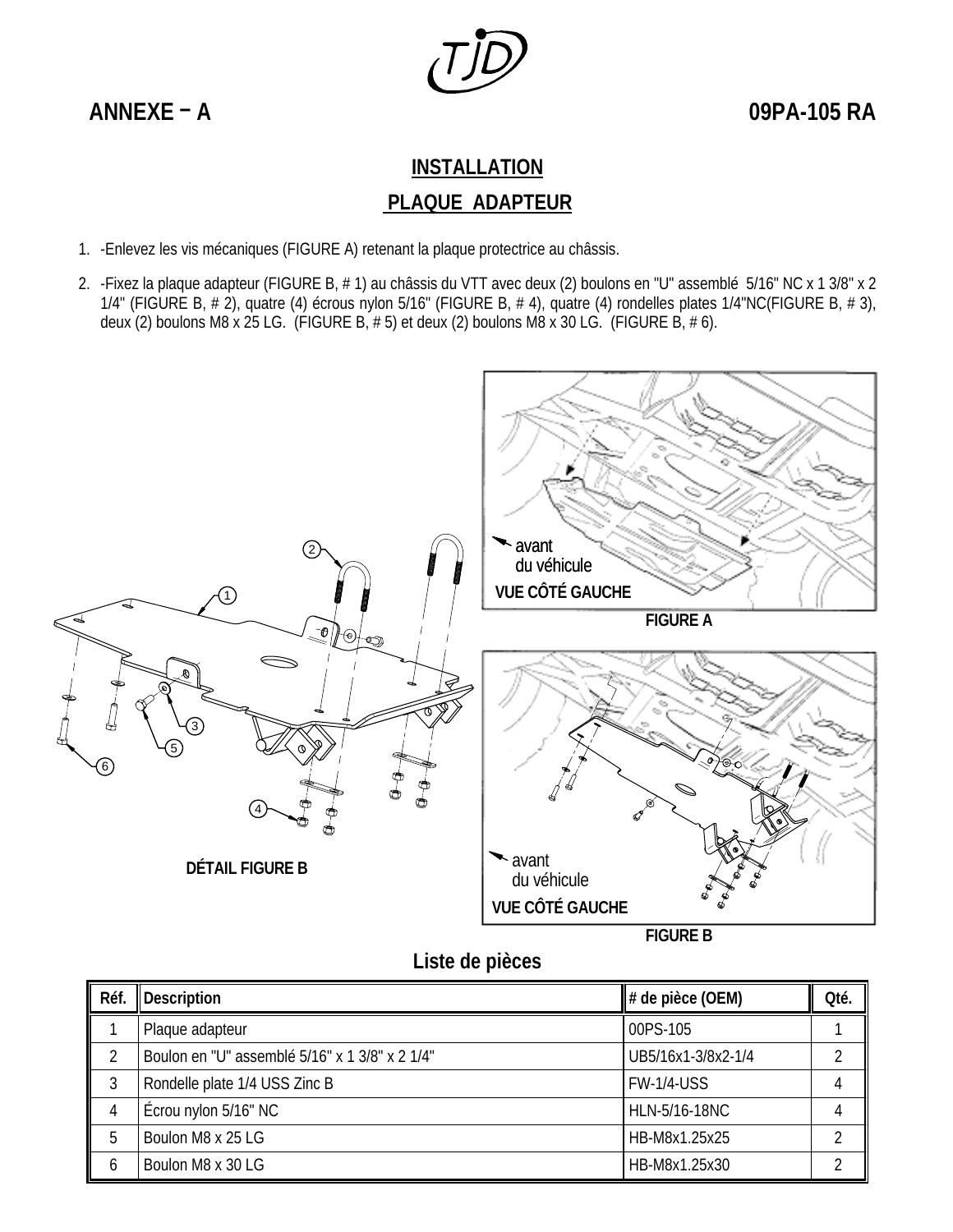

**ANNEXE – A 09PA-105 RA**

## **INSTALLATION PLAQUE ADAPTEUR**

- 1. -Enlevez les vis mécaniques (FIGURE A) retenant la plaque protectrice au châssis.
- 2. -Fixez la plaque adapteur (FIGURE B, # 1) au châssis du VTT avec deux (2) boulons en "U" assemblé 5/16" NC x 1 3/8" x 2 1/4" (FIGURE B, # 2), quatre (4) écrous nylon 5/16" (FIGURE B, # 4), quatre (4) rondelles plates 1/4"NC(FIGURE B, # 3), deux (2) boulons M8 x 25 LG. (FIGURE B,  $# 5$ ) et deux (2) boulons M8 x 30 LG. (FIGURE B,  $# 6$ ).



**Liste de pièces** 

| Réf. | Description                                    | $\parallel$ # de pièce (OEM) | Qté. |
|------|------------------------------------------------|------------------------------|------|
|      | Plaque adapteur                                | 00PS-105                     |      |
|      | Boulon en "U" assemblé 5/16" x 1 3/8" x 2 1/4" | UB5/16x1-3/8x2-1/4           |      |
|      | Rondelle plate 1/4 USS Zinc B                  | <b>FW-1/4-USS</b>            |      |
|      | Écrou nylon 5/16" NC                           | HLN-5/16-18NC                |      |
| .h   | Boulon M8 x 25 LG                              | HB-M8x1.25x25                |      |
| b    | Boulon M8 x 30 LG                              | HB-M8x1.25x30                |      |